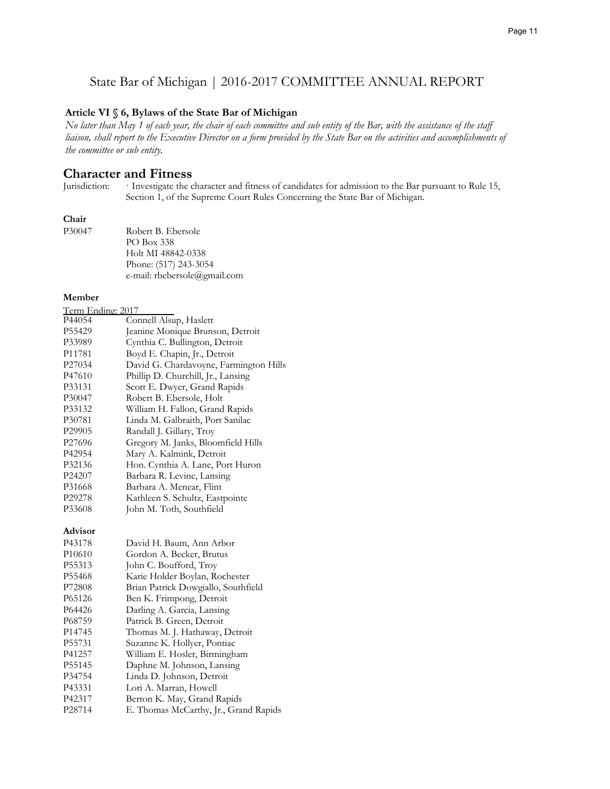# State Bar of Michigan | 2016-2017 COMMITTEE ANNUAL REPORT

#### **Article VI § 6, Bylaws of the State Bar of Michigan**

*No later than May 1 of each year, the chair of each committee and sub entity of the Bar, with the assistance of the staff liaison, shall report to the Executive Director on a form provided by the State Bar on the activities and accomplishments of the committee or sub entity.*

# **Character and Fitness**<br>Jurisdiction: Investigate the c

Investigate the character and fitness of candidates for admission to the Bar pursuant to Rule 15, Section 1, of the Supreme Court Rules Concerning the State Bar of Michigan.

#### **Chair**

| P30047 | Robert B. Ebersole           |
|--------|------------------------------|
|        | PO Box 338                   |
|        | Holt MI 48842-0338           |
|        | Phone: (517) 243-3054        |
|        | e-mail: rbebersole@gmail.com |

### **Member**

| Term Ending: 2017  |                                        |
|--------------------|----------------------------------------|
| P44054             | Connell Alsup, Haslett                 |
| P55429             | Jeanine Monique Brunson, Detroit       |
| P33989             | Cynthia C. Bullington, Detroit         |
| P11781             | Boyd E. Chapin, Jr., Detroit           |
| P <sub>27034</sub> | David G. Chardavoyne, Farmington Hills |
| P47610             | Phillip D. Churchill, Jr., Lansing     |
| P33131             | Scott E. Dwyer, Grand Rapids           |
| P30047             | Robert B. Ebersole, Holt               |
| P33132             | William H. Fallon, Grand Rapids        |
| P30781             | Linda M. Galbraith, Port Sanilac       |
| P <sub>29905</sub> | Randall J. Gillary, Troy               |
| P <sub>27696</sub> | Gregory M. Janks, Bloomfield Hills     |
| P42954             | Mary A. Kalmink, Detroit               |
| P32136             | Hon. Cynthia A. Lane, Port Huron       |
| P <sub>24207</sub> | Barbara R. Levine, Lansing             |
| P31668             | Barbara A. Menear, Flint               |
| P29278             | Kathleen S. Schultz, Eastpointe        |
| P33608             | John M. Toth, Southfield               |
|                    |                                        |

#### **Advisor**

| David H. Baum, Ann Arbor              |
|---------------------------------------|
| Gordon A. Becker, Brutus              |
| John C. Boufford, Troy                |
| Karie Holder Boylan, Rochester        |
| Brian Patrick Dowgiallo, Southfield   |
| Ben K. Frimpong, Detroit              |
| Darling A. Garcia, Lansing            |
| Patrick B. Green, Detroit             |
| Thomas M. J. Hathaway, Detroit        |
| Suzanne K. Hollyer, Pontiac           |
| William E. Hosler, Birmingham         |
| Daphne M. Johnson, Lansing            |
| Linda D. Johnson, Detroit             |
| Lori A. Marran, Howell                |
| Berton K. May, Grand Rapids           |
| E. Thomas McCarthy, Jr., Grand Rapids |
|                                       |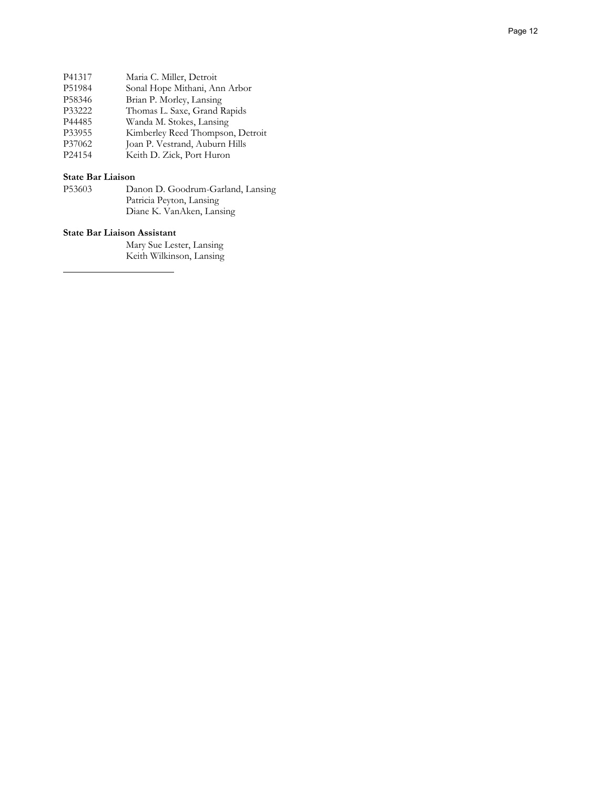| P41317 | Maria C. Miller, Detroit         |
|--------|----------------------------------|
| P51984 | Sonal Hope Mithani, Ann Arbor    |
| P58346 | Brian P. Morley, Lansing         |
| P33222 | Thomas L. Saxe, Grand Rapids     |
| P44485 | Wanda M. Stokes, Lansing         |
| P33955 | Kimberley Reed Thompson, Detroit |
| P37062 | Joan P. Vestrand, Auburn Hills   |
| P24154 | Keith D. Zick, Port Huron        |
|        |                                  |

**State Bar Liaison** Danon D. Goodrum-Garland, Lansing Patricia Peyton, Lansing Diane K. VanAken, Lansing

### **State Bar Liaison Assistant**

Mary Sue Lester, Lansing Keith Wilkinson, Lansing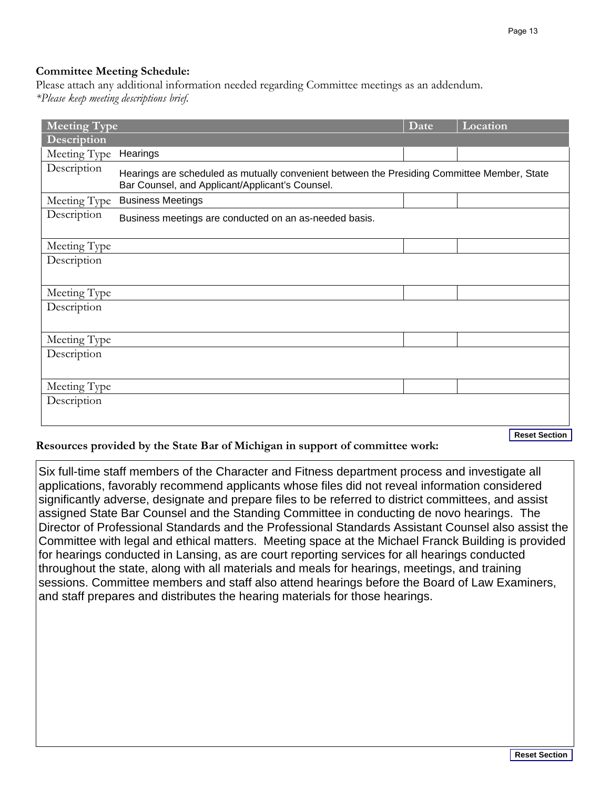# **Committee Meeting Schedule:**

Please attach any additional information needed regarding Committee meetings as an addendum. *\*Please keep meeting descriptions brief.*

| <b>Meeting Type</b>   |                                                                                                                                                | Date | Location             |
|-----------------------|------------------------------------------------------------------------------------------------------------------------------------------------|------|----------------------|
| Description           |                                                                                                                                                |      |                      |
| Meeting Type Hearings |                                                                                                                                                |      |                      |
| Description           | Hearings are scheduled as mutually convenient between the Presiding Committee Member, State<br>Bar Counsel, and Applicant/Applicant's Counsel. |      |                      |
| Meeting Type          | <b>Business Meetings</b>                                                                                                                       |      |                      |
| Description           | Business meetings are conducted on an as-needed basis.                                                                                         |      |                      |
| Meeting Type          |                                                                                                                                                |      |                      |
| Description           |                                                                                                                                                |      |                      |
| Meeting Type          |                                                                                                                                                |      |                      |
| Description           |                                                                                                                                                |      |                      |
|                       |                                                                                                                                                |      |                      |
| Meeting Type          |                                                                                                                                                |      |                      |
| Description           |                                                                                                                                                |      |                      |
|                       |                                                                                                                                                |      |                      |
| Meeting Type          |                                                                                                                                                |      |                      |
| Description           |                                                                                                                                                |      |                      |
|                       |                                                                                                                                                |      |                      |
|                       |                                                                                                                                                |      | <b>Reset Section</b> |

# **Resources provided by the State Bar of Michigan in support of committee work:**

Reset Section<br>
te all<br>
dered<br>
assist<br>
The<br>
assist the<br>
sprovided<br>
g<br>
g<br>
aminers,<br>
Reset Section Six full-time staff members of the Character and Fitness department process and investigate all applications, favorably recommend applicants whose files did not reveal information considered significantly adverse, designate and prepare files to be referred to district committees, and assist assigned State Bar Counsel and the Standing Committee in conducting de novo hearings. The Director of Professional Standards and the Professional Standards Assistant Counsel also assist the Committee with legal and ethical matters. Meeting space at the Michael Franck Building is provided for hearings conducted in Lansing, as are court reporting services for all hearings conducted throughout the state, along with all materials and meals for hearings, meetings, and training sessions. Committee members and staff also attend hearings before the Board of Law Examiners, and staff prepares and distributes the hearing materials for those hearings.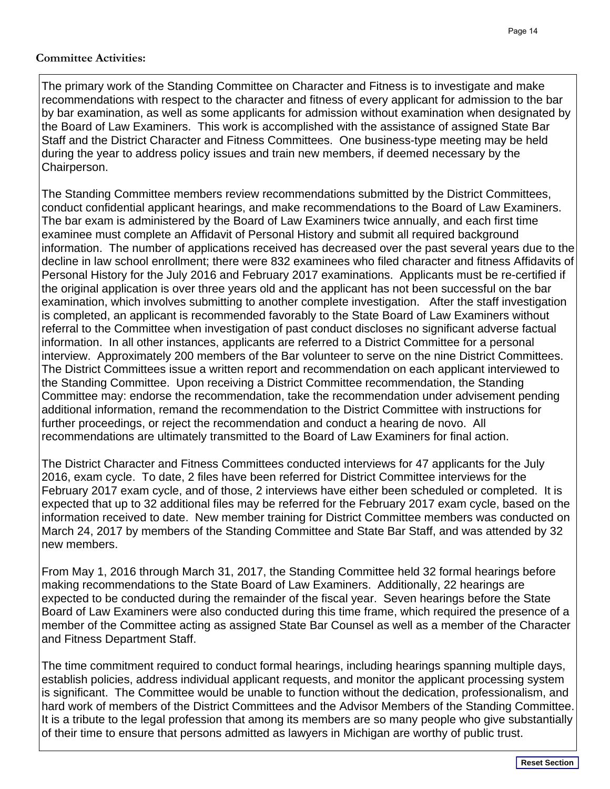## **Committee Activities:**

The primary work of the Standing Committee on Character and Fitness is to investigate and make recommendations with respect to the character and fitness of every applicant for admission to the bar by bar examination, as well as some applicants for admission without examination when designated by the Board of Law Examiners. This work is accomplished with the assistance of assigned State Bar Staff and the District Character and Fitness Committees. One business-type meeting may be held during the year to address policy issues and train new members, if deemed necessary by the Chairperson.

The Standing Committee members review recommendations submitted by the District Committees, conduct confidential applicant hearings, and make recommendations to the Board of Law Examiners. The bar exam is administered by the Board of Law Examiners twice annually, and each first time examinee must complete an Affidavit of Personal History and submit all required background information. The number of applications received has decreased over the past several years due to the decline in law school enrollment; there were 832 examinees who filed character and fitness Affidavits of Personal History for the July 2016 and February 2017 examinations. Applicants must be re-certified if the original application is over three years old and the applicant has not been successful on the bar examination, which involves submitting to another complete investigation. After the staff investigation is completed, an applicant is recommended favorably to the State Board of Law Examiners without referral to the Committee when investigation of past conduct discloses no significant adverse factual information. In all other instances, applicants are referred to a District Committee for a personal interview. Approximately 200 members of the Bar volunteer to serve on the nine District Committees. The District Committees issue a written report and recommendation on each applicant interviewed to the Standing Committee. Upon receiving a District Committee recommendation, the Standing Committee may: endorse the recommendation, take the recommendation under advisement pending additional information, remand the recommendation to the District Committee with instructions for further proceedings, or reject the recommendation and conduct a hearing de novo. All recommendations are ultimately transmitted to the Board of Law Examiners for final action.

The District Character and Fitness Committees conducted interviews for 47 applicants for the July 2016, exam cycle. To date, 2 files have been referred for District Committee interviews for the February 2017 exam cycle, and of those, 2 interviews have either been scheduled or completed. It is expected that up to 32 additional files may be referred for the February 2017 exam cycle, based on the information received to date. New member training for District Committee members was conducted on March 24, 2017 by members of the Standing Committee and State Bar Staff, and was attended by 32 new members.

From May 1, 2016 through March 31, 2017, the Standing Committee held 32 formal hearings before making recommendations to the State Board of Law Examiners. Additionally, 22 hearings are expected to be conducted during the remainder of the fiscal year. Seven hearings before the State Board of Law Examiners were also conducted during this time frame, which required the presence of a member of the Committee acting as assigned State Bar Counsel as well as a member of the Character and Fitness Department Staff.

The time commitment required to conduct formal hearings, including hearings spanning multiple days, establish policies, address individual applicant requests, and monitor the applicant processing system is significant. The Committee would be unable to function without the dedication, professionalism, and hard work of members of the District Committees and the Advisor Members of the Standing Committee. It is a tribute to the legal profession that among its members are so many people who give substantially of their time to ensure that persons admitted as lawyers in Michigan are worthy of public trust.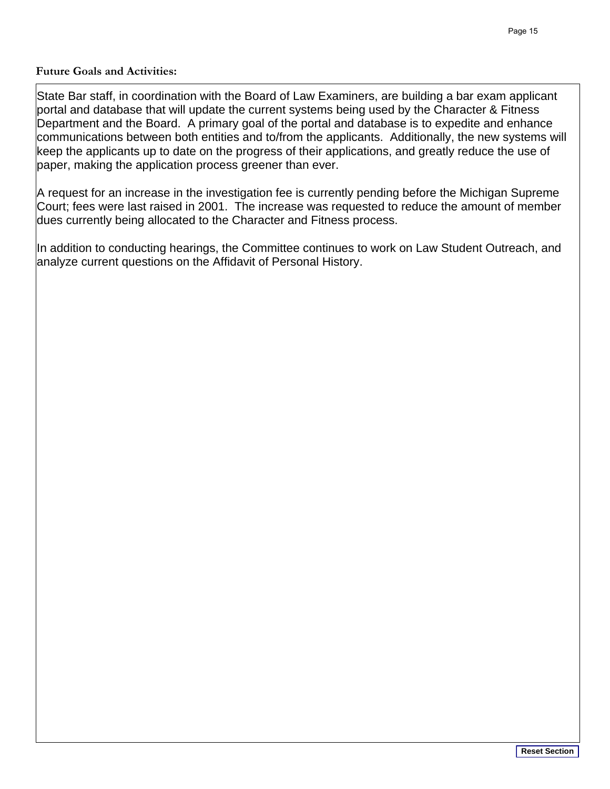# **Future Goals and Activities:**

State Bar staff, in coordination with the Board of Law Examiners, are building a bar exam applicant portal and database that will update the current systems being used by the Character & Fitness Department and the Board. A primary goal of the portal and database is to expedite and enhance communications between both entities and to/from the applicants. Additionally, the new systems will keep the applicants up to date on the progress of their applications, and greatly reduce the use of paper, making the application process greener than ever.

A request for an increase in the investigation fee is currently pending before the Michigan Supreme Court; fees were last raised in 2001. The increase was requested to reduce the amount of member dues currently being allocated to the Character and Fitness process.

In addition to conducting hearings, the Committee continues to work on Law Student Outreach, and analyze current questions on the Affidavit of Personal History.